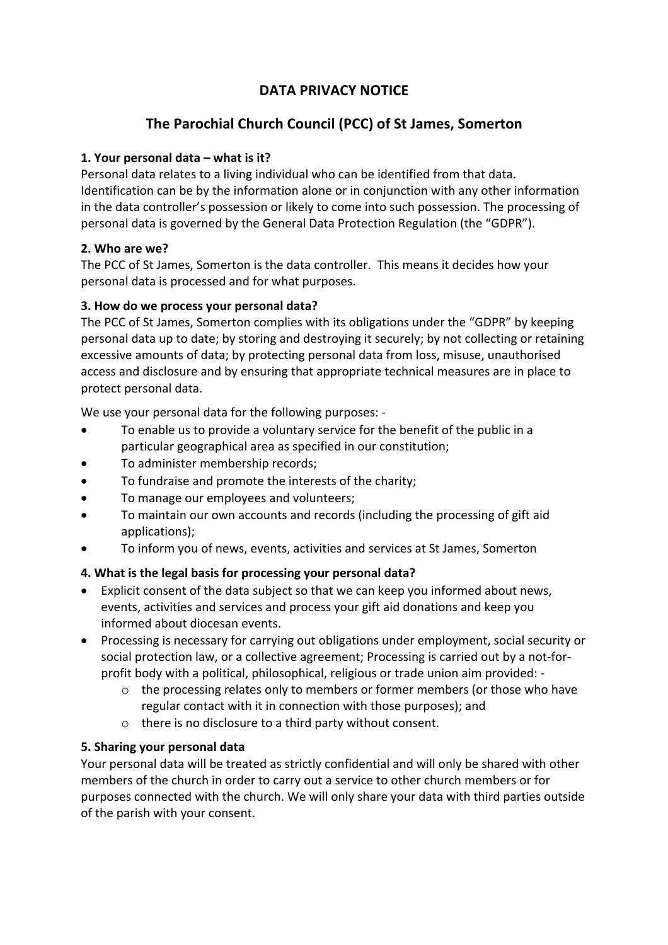## **DATA PRIVACY NOTICE**

# **The Parochial Church Council (PCC) of St James, Somerton**

### **1. Your personal data – what is it?**

Personal data relates to a living individual who can be identified from that data. Identification can be by the information alone or in conjunction with any other information in the data controller's possession or likely to come into such possession. The processing of personal data is governed by the General Data Protection Regulation (the "GDPR").

### **2. Who are we?**

The PCC of St James, Somerton is the data controller. This means it decides how your personal data is processed and for what purposes.

## **3. How do we process your personal data?**

The PCC of St James, Somerton complies with its obligations under the "GDPR" by keeping personal data up to date; by storing and destroying it securely; by not collecting or retaining excessive amounts of data; by protecting personal data from loss, misuse, unauthorised access and disclosure and by ensuring that appropriate technical measures are in place to protect personal data.

We use your personal data for the following purposes: -

- To enable us to provide a voluntary service for the benefit of the public in a particular geographical area as specified in our constitution;
- To administer membership records;
- To fundraise and promote the interests of the charity;
- To manage our employees and volunteers;
- To maintain our own accounts and records (including the processing of gift aid applications);
- To inform you of news, events, activities and services at St James, Somerton

## **4. What is the legal basis for processing your personal data?**

- Explicit consent of the data subject so that we can keep you informed about news, events, activities and services and process your gift aid donations and keep you informed about diocesan events.
- Processing is necessary for carrying out obligations under employment, social security or social protection law, or a collective agreement; Processing is carried out by a not-forprofit body with a political, philosophical, religious or trade union aim provided:
	- o the processing relates only to members or former members (or those who have regular contact with it in connection with those purposes); and
	- o there is no disclosure to a third party without consent.

## **5. Sharing your personal data**

Your personal data will be treated as strictly confidential and will only be shared with other members of the church in order to carry out a service to other church members or for purposes connected with the church. We will only share your data with third parties outside of the parish with your consent.